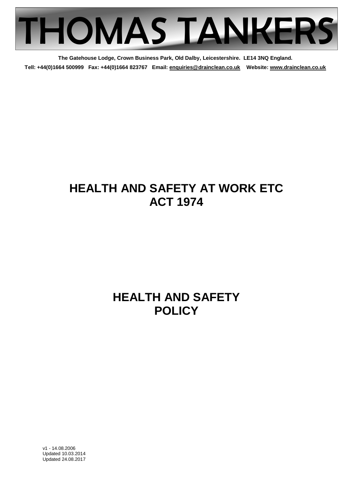

**The Gatehouse Lodge, Crown Business Park, Old Dalby, Leicestershire. LE14 3NQ England. Tell: +44(0)1664 500999 Fax: +44(0)1664 823767 Email: enquiries@drainclean.co.uk Website: www.drainclean.co.uk**

# **HEALTH AND SAFETY AT WORK ETC ACT 1974**

# **HEALTH AND SAFETY POLICY**

v1 - 14.08.2006 Updated 10.03.2014 Updated 24.08.2017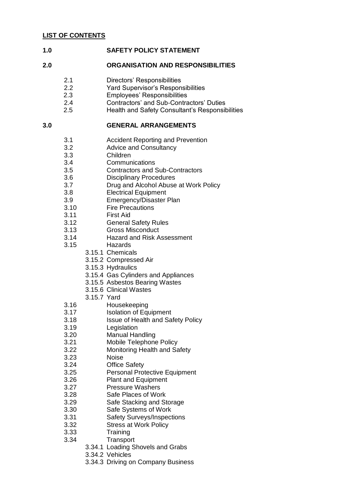#### **1.0 SAFETY POLICY STATEMENT**

#### **2.0 ORGANISATION AND RESPONSIBILITIES**

- 2.1 Directors' Responsibilities
- 2.2 Yard Supervisor's Responsibilities
- 2.3 Employees' Responsibilities
- 2.4 Contractors' and Sub-Contractors' Duties
- 2.5 Health and Safety Consultant's Responsibilities

#### **3.0 GENERAL ARRANGEMENTS**

- 3.1 Accident Reporting and Prevention
- 3.2 Advice and Consultancy
- 3.3 Children
- 3.4 Communications
- 3.5 Contractors and Sub-Contractors
- 3.6 Disciplinary Procedures
- 3.7 Drug and Alcohol Abuse at Work Policy
- 3.8 Electrical Equipment
- 3.9 Emergency/Disaster Plan
- 3.10 Fire Precautions
- 3.11 First Aid
- 3.12 General Safety Rules
- 3.13 Gross Misconduct
- 3.14 Hazard and Risk Assessment
- 3.15 Hazards
	- 3.15.1 Chemicals
		- 3.15.2 Compressed Air
		- 3.15.3 Hydraulics
		- 3.15.4 Gas Cylinders and Appliances
	- 3.15.5 Asbestos Bearing Wastes
	- 3.15.6 Clinical Wastes
	- 3.15.7 Yard
- 3.16 Housekeeping
- 3.17 Isolation of Equipment
- 3.18 Issue of Health and Safety Policy
- 3.19 Legislation
- 3.20 Manual Handling
- 3.21 Mobile Telephone Policy
- 3.22 Monitoring Health and Safety
- 3.23 Noise
- 3.24 Office Safety
- 3.25 Personal Protective Equipment
- 3.26 Plant and Equipment
- 3.27 Pressure Washers
- 3.28 Safe Places of Work
- 3.29 Safe Stacking and Storage
- 3.30 Safe Systems of Work
- 3.31 Safety Surveys/Inspections
- 3.32 Stress at Work Policy
- 3.33 Training
- 3.34 Transport
	- 3.34.1 Loading Shovels and Grabs
	- 3.34.2 Vehicles
	- 3.34.3 Driving on Company Business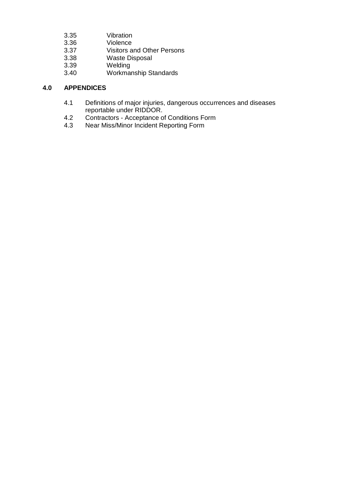- 3.35 Vibration
- Violence
- 3.37 Visitors and Other Persons
- 3.38 Waste Disposal
- 3.39 Welding<br>3.40 Workmai
- Workmanship Standards

# **4.0 APPENDICES**

- 4.1 Definitions of major injuries, dangerous occurrences and diseases reportable under RIDDOR.
- 4.2 Contractors Acceptance of Conditions Form
- 4.3 Near Miss/Minor Incident Reporting Form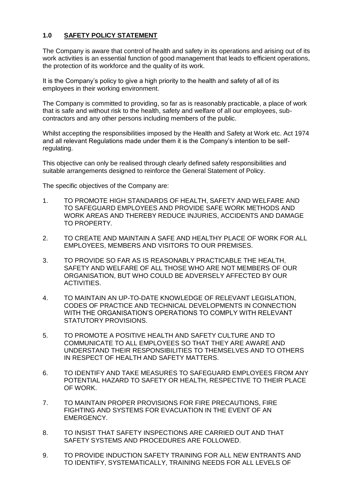# **1.0 SAFETY POLICY STATEMENT**

The Company is aware that control of health and safety in its operations and arising out of its work activities is an essential function of good management that leads to efficient operations, the protection of its workforce and the quality of its work.

It is the Company's policy to give a high priority to the health and safety of all of its employees in their working environment.

The Company is committed to providing, so far as is reasonably practicable, a place of work that is safe and without risk to the health, safety and welfare of all our employees, subcontractors and any other persons including members of the public.

Whilst accepting the responsibilities imposed by the Health and Safety at Work etc. Act 1974 and all relevant Regulations made under them it is the Company's intention to be selfregulating.

This objective can only be realised through clearly defined safety responsibilities and suitable arrangements designed to reinforce the General Statement of Policy.

The specific objectives of the Company are:

- 1. TO PROMOTE HIGH STANDARDS OF HEALTH, SAFETY AND WELFARE AND TO SAFEGUARD EMPLOYEES AND PROVIDE SAFE WORK METHODS AND WORK AREAS AND THEREBY REDUCE INJURIES, ACCIDENTS AND DAMAGE TO PROPERTY.
- 2. TO CREATE AND MAINTAIN A SAFE AND HEALTHY PLACE OF WORK FOR ALL EMPLOYEES, MEMBERS AND VISITORS TO OUR PREMISES.
- 3. TO PROVIDE SO FAR AS IS REASONABLY PRACTICABLE THE HEALTH, SAFETY AND WELFARE OF ALL THOSE WHO ARE NOT MEMBERS OF OUR ORGANISATION, BUT WHO COULD BE ADVERSELY AFFECTED BY OUR ACTIVITIES.
- 4. TO MAINTAIN AN UP-TO-DATE KNOWLEDGE OF RELEVANT LEGISLATION, CODES OF PRACTICE AND TECHNICAL DEVELOPMENTS IN CONNECTION WITH THE ORGANISATION'S OPERATIONS TO COMPLY WITH RELEVANT STATUTORY PROVISIONS.
- 5. TO PROMOTE A POSITIVE HEALTH AND SAFETY CULTURE AND TO COMMUNICATE TO ALL EMPLOYEES SO THAT THEY ARE AWARE AND UNDERSTAND THEIR RESPONSIBILITIES TO THEMSELVES AND TO OTHERS IN RESPECT OF HEALTH AND SAFETY MATTERS.
- 6. TO IDENTIFY AND TAKE MEASURES TO SAFEGUARD EMPLOYEES FROM ANY POTENTIAL HAZARD TO SAFETY OR HEALTH, RESPECTIVE TO THEIR PLACE OF WORK.
- 7. TO MAINTAIN PROPER PROVISIONS FOR FIRE PRECAUTIONS, FIRE FIGHTING AND SYSTEMS FOR EVACUATION IN THE EVENT OF AN EMERGENCY.
- 8. TO INSIST THAT SAFETY INSPECTIONS ARE CARRIED OUT AND THAT SAFETY SYSTEMS AND PROCEDURES ARE FOLLOWED.
- 9. TO PROVIDE INDUCTION SAFETY TRAINING FOR ALL NEW ENTRANTS AND TO IDENTIFY, SYSTEMATICALLY, TRAINING NEEDS FOR ALL LEVELS OF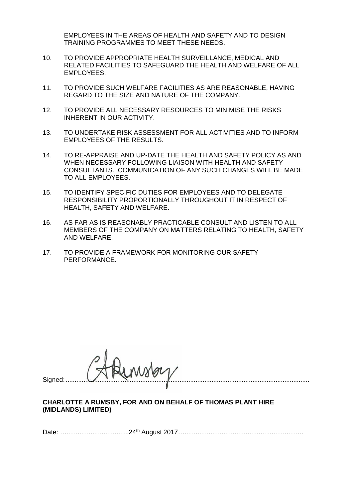EMPLOYEES IN THE AREAS OF HEALTH AND SAFETY AND TO DESIGN TRAINING PROGRAMMES TO MEET THESE NEEDS.

- 10. TO PROVIDE APPROPRIATE HEALTH SURVEILLANCE, MEDICAL AND RELATED FACILITIES TO SAFEGUARD THE HEALTH AND WELFARE OF ALL EMPLOYEES.
- 11. TO PROVIDE SUCH WELFARE FACILITIES AS ARE REASONABLE, HAVING REGARD TO THE SIZE AND NATURE OF THE COMPANY.
- 12. TO PROVIDE ALL NECESSARY RESOURCES TO MINIMISE THE RISKS INHERENT IN OUR ACTIVITY.
- 13. TO UNDERTAKE RISK ASSESSMENT FOR ALL ACTIVITIES AND TO INFORM EMPLOYEES OF THE RESULTS.
- 14. TO RE-APPRAISE AND UP-DATE THE HEALTH AND SAFETY POLICY AS AND WHEN NECESSARY FOLLOWING LIAISON WITH HEALTH AND SAFETY CONSULTANTS. COMMUNICATION OF ANY SUCH CHANGES WILL BE MADE TO ALL EMPLOYEES.
- 15. TO IDENTIFY SPECIFIC DUTIES FOR EMPLOYEES AND TO DELEGATE RESPONSIBILITY PROPORTIONALLY THROUGHOUT IT IN RESPECT OF HEALTH, SAFETY AND WELFARE.
- 16. AS FAR AS IS REASONABLY PRACTICABLE CONSULT AND LISTEN TO ALL MEMBERS OF THE COMPANY ON MATTERS RELATING TO HEALTH, SAFETY AND WELFARE.
- 17. TO PROVIDE A FRAMEWORK FOR MONITORING OUR SAFETY PERFORMANCE.

Signed:  $\blacksquare$ 

#### **CHARLOTTE A RUMSBY, FOR AND ON BEHALF OF THOMAS PLANT HIRE (MIDLANDS) LIMITED)**

Date: …………………………..24th August 2017………………………………………………….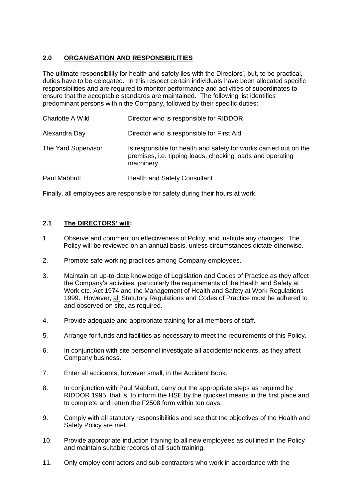# **2.0 ORGANISATION AND RESPONSIBILITIES**

The ultimate responsibility for health and safety lies with the Directors', but, to be practical, duties have to be delegated. In this respect certain individuals have been allocated specific responsibilities and are required to monitor performance and activities of subordinates to ensure that the acceptable standards are maintained. The following list identifies predominant persons within the Company, followed by their specific duties:

| Charlotte A Wild    | Director who is responsible for RIDDOR                                                                                                       |
|---------------------|----------------------------------------------------------------------------------------------------------------------------------------------|
| Alexandra Day       | Director who is responsible for First Aid                                                                                                    |
| The Yard Supervisor | Is responsible for health and safety for works carried out on the<br>premises, i.e. tipping loads, checking loads and operating<br>machinery |
| Paul Mabbutt        | <b>Health and Safety Consultant</b>                                                                                                          |

Finally, all employees are responsible for safety during their hours at work.

# **2.1 The DIRECTORS' will:**

- 1. Observe and comment on effectiveness of Policy, and institute any changes. The Policy will be reviewed on an annual basis, unless circumstances dictate otherwise.
- 2. Promote safe working practices among Company employees.
- 3. Maintain an up-to-date knowledge of Legislation and Codes of Practice as they affect the Company's activities, particularly the requirements of the Health and Safety at Work etc. Act 1974 and the Management of Health and Safety at Work Regulations 1999. However, all Statutory Regulations and Codes of Practice must be adhered to and observed on site, as required.
- 4. Provide adequate and appropriate training for all members of staff.
- 5. Arrange for funds and facilities as necessary to meet the requirements of this Policy.
- 6. In conjunction with site personnel investigate all accidents/incidents, as they affect Company business.
- 7. Enter all accidents, however small, in the Accident Book.
- 8. In conjunction with Paul Mabbutt, carry out the appropriate steps as required by RIDDOR 1995, that is, to inform the HSE by the quickest means in the first place and to complete and return the F2508 form within ten days.
- 9. Comply with all statutory responsibilities and see that the objectives of the Health and Safety Policy are met.
- 10. Provide appropriate induction training to all new employees as outlined in the Policy and maintain suitable records of all such training.
- 11. Only employ contractors and sub-contractors who work in accordance with the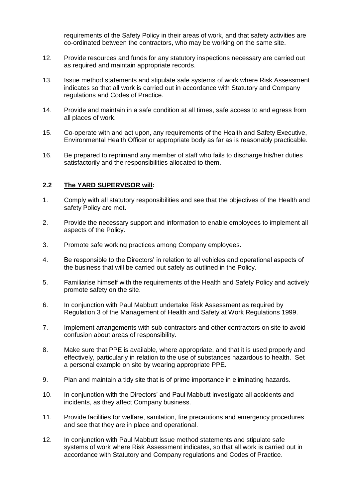requirements of the Safety Policy in their areas of work, and that safety activities are co-ordinated between the contractors, who may be working on the same site.

- 12. Provide resources and funds for any statutory inspections necessary are carried out as required and maintain appropriate records.
- 13. Issue method statements and stipulate safe systems of work where Risk Assessment indicates so that all work is carried out in accordance with Statutory and Company regulations and Codes of Practice.
- 14. Provide and maintain in a safe condition at all times, safe access to and egress from all places of work.
- 15. Co-operate with and act upon, any requirements of the Health and Safety Executive, Environmental Health Officer or appropriate body as far as is reasonably practicable.
- 16. Be prepared to reprimand any member of staff who fails to discharge his/her duties satisfactorily and the responsibilities allocated to them.

#### **2.2 The YARD SUPERVISOR will:**

- 1. Comply with all statutory responsibilities and see that the objectives of the Health and safety Policy are met.
- 2. Provide the necessary support and information to enable employees to implement all aspects of the Policy.
- 3. Promote safe working practices among Company employees.
- 4. Be responsible to the Directors' in relation to all vehicles and operational aspects of the business that will be carried out safely as outlined in the Policy.
- 5. Familiarise himself with the requirements of the Health and Safety Policy and actively promote safety on the site.
- 6. In conjunction with Paul Mabbutt undertake Risk Assessment as required by Regulation 3 of the Management of Health and Safety at Work Regulations 1999.
- 7. Implement arrangements with sub-contractors and other contractors on site to avoid confusion about areas of responsibility.
- 8. Make sure that PPE is available, where appropriate, and that it is used properly and effectively, particularly in relation to the use of substances hazardous to health. Set a personal example on site by wearing appropriate PPE.
- 9. Plan and maintain a tidy site that is of prime importance in eliminating hazards.
- 10. In conjunction with the Directors' and Paul Mabbutt investigate all accidents and incidents, as they affect Company business.
- 11. Provide facilities for welfare, sanitation, fire precautions and emergency procedures and see that they are in place and operational.
- 12. In conjunction with Paul Mabbutt issue method statements and stipulate safe systems of work where Risk Assessment indicates, so that all work is carried out in accordance with Statutory and Company regulations and Codes of Practice.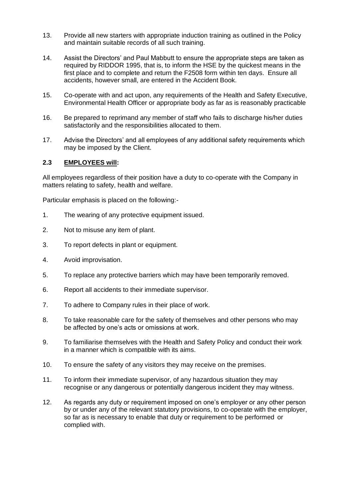- 13. Provide all new starters with appropriate induction training as outlined in the Policy and maintain suitable records of all such training.
- 14. Assist the Directors' and Paul Mabbutt to ensure the appropriate steps are taken as required by RIDDOR 1995, that is, to inform the HSE by the quickest means in the first place and to complete and return the F2508 form within ten days. Ensure all accidents, however small, are entered in the Accident Book.
- 15. Co-operate with and act upon, any requirements of the Health and Safety Executive, Environmental Health Officer or appropriate body as far as is reasonably practicable
- 16. Be prepared to reprimand any member of staff who fails to discharge his/her duties satisfactorily and the responsibilities allocated to them.
- 17. Advise the Directors' and all employees of any additional safety requirements which may be imposed by the Client.

#### **2.3 EMPLOYEES will:**

All employees regardless of their position have a duty to co-operate with the Company in matters relating to safety, health and welfare.

Particular emphasis is placed on the following:-

- 1. The wearing of any protective equipment issued.
- 2. Not to misuse any item of plant.
- 3. To report defects in plant or equipment.
- 4. Avoid improvisation.
- 5. To replace any protective barriers which may have been temporarily removed.
- 6. Report all accidents to their immediate supervisor.
- 7. To adhere to Company rules in their place of work.
- 8. To take reasonable care for the safety of themselves and other persons who may be affected by one's acts or omissions at work.
- 9. To familiarise themselves with the Health and Safety Policy and conduct their work in a manner which is compatible with its aims.
- 10. To ensure the safety of any visitors they may receive on the premises.
- 11. To inform their immediate supervisor, of any hazardous situation they may recognise or any dangerous or potentially dangerous incident they may witness.
- 12. As regards any duty or requirement imposed on one's employer or any other person by or under any of the relevant statutory provisions, to co-operate with the employer, so far as is necessary to enable that duty or requirement to be performed or complied with.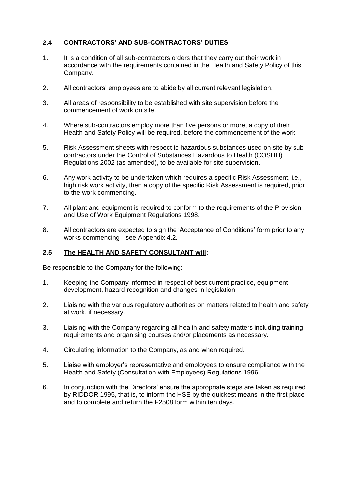# **2.4 CONTRACTORS' AND SUB-CONTRACTORS' DUTIES**

- 1. It is a condition of all sub-contractors orders that they carry out their work in accordance with the requirements contained in the Health and Safety Policy of this Company.
- 2. All contractors' employees are to abide by all current relevant legislation.
- 3. All areas of responsibility to be established with site supervision before the commencement of work on site.
- 4. Where sub-contractors employ more than five persons or more, a copy of their Health and Safety Policy will be required, before the commencement of the work.
- 5. Risk Assessment sheets with respect to hazardous substances used on site by subcontractors under the Control of Substances Hazardous to Health (COSHH) Regulations 2002 (as amended), to be available for site supervision.
- 6. Any work activity to be undertaken which requires a specific Risk Assessment, i.e., high risk work activity, then a copy of the specific Risk Assessment is required, prior to the work commencing.
- 7. All plant and equipment is required to conform to the requirements of the Provision and Use of Work Equipment Regulations 1998.
- 8. All contractors are expected to sign the 'Acceptance of Conditions' form prior to any works commencing - see Appendix 4.2.

# **2.5 The HEALTH AND SAFETY CONSULTANT will:**

Be responsible to the Company for the following:

- 1. Keeping the Company informed in respect of best current practice, equipment development, hazard recognition and changes in legislation.
- 2. Liaising with the various regulatory authorities on matters related to health and safety at work, if necessary.
- 3. Liaising with the Company regarding all health and safety matters including training requirements and organising courses and/or placements as necessary.
- 4. Circulating information to the Company, as and when required.
- 5. Liaise with employer's representative and employees to ensure compliance with the Health and Safety (Consultation with Employees) Regulations 1996.
- 6. In conjunction with the Directors' ensure the appropriate steps are taken as required by RIDDOR 1995, that is, to inform the HSE by the quickest means in the first place and to complete and return the F2508 form within ten days.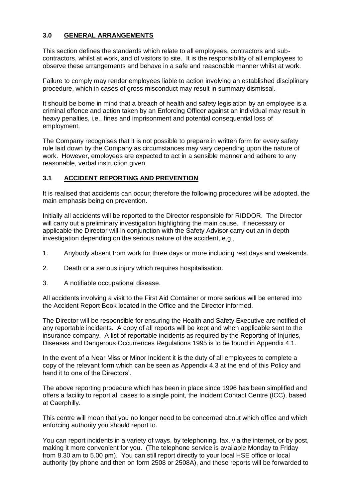## **3.0 GENERAL ARRANGEMENTS**

This section defines the standards which relate to all employees, contractors and subcontractors, whilst at work, and of visitors to site. It is the responsibility of all employees to observe these arrangements and behave in a safe and reasonable manner whilst at work.

Failure to comply may render employees liable to action involving an established disciplinary procedure, which in cases of gross misconduct may result in summary dismissal.

It should be borne in mind that a breach of health and safety legislation by an employee is a criminal offence and action taken by an Enforcing Officer against an individual may result in heavy penalties, i.e., fines and imprisonment and potential consequential loss of employment.

The Company recognises that it is not possible to prepare in written form for every safety rule laid down by the Company as circumstances may vary depending upon the nature of work. However, employees are expected to act in a sensible manner and adhere to any reasonable, verbal instruction given.

#### **3.1 ACCIDENT REPORTING AND PREVENTION**

It is realised that accidents can occur; therefore the following procedures will be adopted, the main emphasis being on prevention.

Initially all accidents will be reported to the Director responsible for RIDDOR. The Director will carry out a preliminary investigation highlighting the main cause. If necessary or applicable the Director will in conjunction with the Safety Advisor carry out an in depth investigation depending on the serious nature of the accident, e.g.,

- 1. Anybody absent from work for three days or more including rest days and weekends.
- 2. Death or a serious injury which requires hospitalisation.
- 3. A notifiable occupational disease.

All accidents involving a visit to the First Aid Container or more serious will be entered into the Accident Report Book located in the Office and the Director informed.

The Director will be responsible for ensuring the Health and Safety Executive are notified of any reportable incidents. A copy of all reports will be kept and when applicable sent to the insurance company. A list of reportable incidents as required by the Reporting of Injuries, Diseases and Dangerous Occurrences Regulations 1995 is to be found in Appendix 4.1.

In the event of a Near Miss or Minor Incident it is the duty of all employees to complete a copy of the relevant form which can be seen as Appendix 4.3 at the end of this Policy and hand it to one of the Directors'.

The above reporting procedure which has been in place since 1996 has been simplified and offers a facility to report all cases to a single point, the Incident Contact Centre (ICC), based at Caerphilly.

This centre will mean that you no longer need to be concerned about which office and which enforcing authority you should report to.

You can report incidents in a variety of ways, by telephoning, fax, via the internet, or by post, making it more convenient for you. (The telephone service is available Monday to Friday from 8.30 am to 5.00 pm). You can still report directly to your local HSE office or local authority (by phone and then on form 2508 or 2508A), and these reports will be forwarded to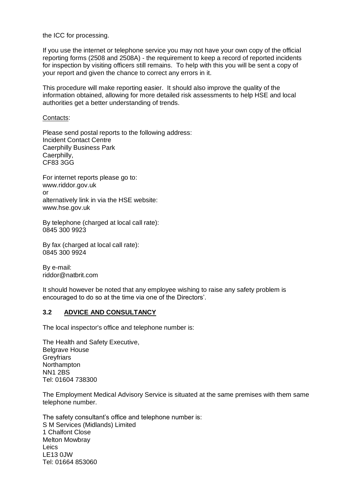the ICC for processing.

If you use the internet or telephone service you may not have your own copy of the official reporting forms (2508 and 2508A) - the requirement to keep a record of reported incidents for inspection by visiting officers still remains. To help with this you will be sent a copy of your report and given the chance to correct any errors in it.

This procedure will make reporting easier. It should also improve the quality of the information obtained, allowing for more detailed risk assessments to help HSE and local authorities get a better understanding of trends.

#### Contacts:

Please send postal reports to the following address: Incident Contact Centre Caerphilly Business Park Caerphilly, CF83 3GG

For internet reports please go to: www.riddor.gov.uk or alternatively link in via the HSE website: www.hse.gov.uk

By telephone (charged at local call rate): 0845 300 9923

By fax (charged at local call rate): 0845 300 9924

By e-mail: riddor@natbrit.com

It should however be noted that any employee wishing to raise any safety problem is encouraged to do so at the time via one of the Directors'.

#### **3.2 ADVICE AND CONSULTANCY**

The local inspector's office and telephone number is:

The Health and Safety Executive, Belgrave House **Greyfriars** Northampton NN1 2BS Tel: 01604 738300

The Employment Medical Advisory Service is situated at the same premises with them same telephone number.

The safety consultant's office and telephone number is: S M Services (Midlands) Limited 1 Chalfont Close Melton Mowbray Leics LE13 0JW Tel: 01664 853060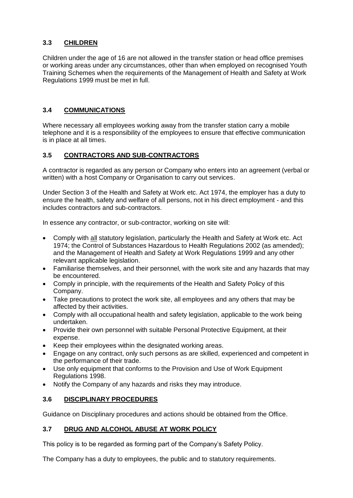# **3.3 CHILDREN**

Children under the age of 16 are not allowed in the transfer station or head office premises or working areas under any circumstances, other than when employed on recognised Youth Training Schemes when the requirements of the Management of Health and Safety at Work Regulations 1999 must be met in full.

# **3.4 COMMUNICATIONS**

Where necessary all employees working away from the transfer station carry a mobile telephone and it is a responsibility of the employees to ensure that effective communication is in place at all times.

## **3.5 CONTRACTORS AND SUB-CONTRACTORS**

A contractor is regarded as any person or Company who enters into an agreement (verbal or written) with a host Company or Organisation to carry out services.

Under Section 3 of the Health and Safety at Work etc. Act 1974, the employer has a duty to ensure the health, safety and welfare of all persons, not in his direct employment - and this includes contractors and sub-contractors.

In essence any contractor, or sub-contractor, working on site will:

- Comply with all statutory legislation, particularly the Health and Safety at Work etc. Act 1974; the Control of Substances Hazardous to Health Regulations 2002 (as amended); and the Management of Health and Safety at Work Regulations 1999 and any other relevant applicable legislation.
- Familiarise themselves, and their personnel, with the work site and any hazards that may be encountered.
- Comply in principle, with the requirements of the Health and Safety Policy of this Company.
- Take precautions to protect the work site, all employees and any others that may be affected by their activities.
- Comply with all occupational health and safety legislation, applicable to the work being undertaken.
- Provide their own personnel with suitable Personal Protective Equipment, at their expense.
- Keep their employees within the designated working areas.
- Engage on any contract, only such persons as are skilled, experienced and competent in the performance of their trade.
- Use only equipment that conforms to the Provision and Use of Work Equipment Regulations 1998.
- Notify the Company of any hazards and risks they may introduce.

# **3.6 DISCIPLINARY PROCEDURES**

Guidance on Disciplinary procedures and actions should be obtained from the Office.

#### **3.7 DRUG AND ALCOHOL ABUSE AT WORK POLICY**

This policy is to be regarded as forming part of the Company's Safety Policy.

The Company has a duty to employees, the public and to statutory requirements.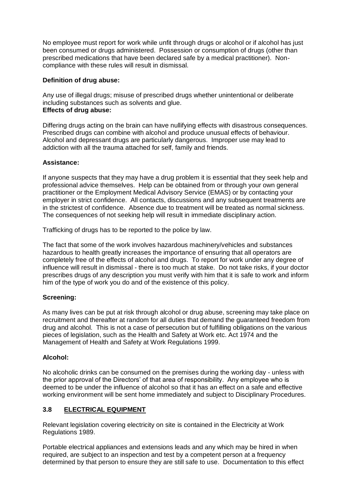No employee must report for work while unfit through drugs or alcohol or if alcohol has just been consumed or drugs administered. Possession or consumption of drugs (other than prescribed medications that have been declared safe by a medical practitioner). Noncompliance with these rules will result in dismissal.

# **Definition of drug abuse:**

Any use of illegal drugs; misuse of prescribed drugs whether unintentional or deliberate including substances such as solvents and glue. **Effects of drug abuse:**

Differing drugs acting on the brain can have nullifying effects with disastrous consequences. Prescribed drugs can combine with alcohol and produce unusual effects of behaviour. Alcohol and depressant drugs are particularly dangerous. Improper use may lead to addiction with all the trauma attached for self, family and friends.

## **Assistance:**

If anyone suspects that they may have a drug problem it is essential that they seek help and professional advice themselves. Help can be obtained from or through your own general practitioner or the Employment Medical Advisory Service (EMAS) or by contacting your employer in strict confidence. All contacts, discussions and any subsequent treatments are in the strictest of confidence. Absence due to treatment will be treated as normal sickness. The consequences of not seeking help will result in immediate disciplinary action.

Trafficking of drugs has to be reported to the police by law.

The fact that some of the work involves hazardous machinery/vehicles and substances hazardous to health greatly increases the importance of ensuring that all operators are completely free of the effects of alcohol and drugs. To report for work under any degree of influence will result in dismissal - there is too much at stake. Do not take risks, if your doctor prescribes drugs of any description you must verify with him that it is safe to work and inform him of the type of work you do and of the existence of this policy.

#### **Screening:**

As many lives can be put at risk through alcohol or drug abuse, screening may take place on recruitment and thereafter at random for all duties that demand the guaranteed freedom from drug and alcohol. This is not a case of persecution but of fulfilling obligations on the various pieces of legislation, such as the Health and Safety at Work etc. Act 1974 and the Management of Health and Safety at Work Regulations 1999.

# **Alcohol:**

No alcoholic drinks can be consumed on the premises during the working day - unless with the prior approval of the Directors' of that area of responsibility. Any employee who is deemed to be under the influence of alcohol so that it has an effect on a safe and effective working environment will be sent home immediately and subject to Disciplinary Procedures.

# **3.8 ELECTRICAL EQUIPMENT**

Relevant legislation covering electricity on site is contained in the Electricity at Work Regulations 1989.

Portable electrical appliances and extensions leads and any which may be hired in when required, are subject to an inspection and test by a competent person at a frequency determined by that person to ensure they are still safe to use. Documentation to this effect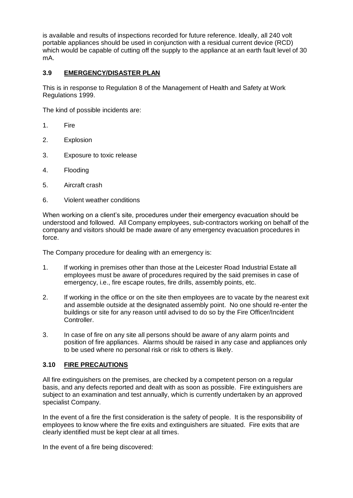is available and results of inspections recorded for future reference. Ideally, all 240 volt portable appliances should be used in conjunction with a residual current device (RCD) which would be capable of cutting off the supply to the appliance at an earth fault level of 30 mA.

# **3.9 EMERGENCY/DISASTER PLAN**

This is in response to Regulation 8 of the Management of Health and Safety at Work Regulations 1999.

The kind of possible incidents are:

- 1. Fire
- 2. Explosion
- 3. Exposure to toxic release
- 4. Flooding
- 5. Aircraft crash
- 6. Violent weather conditions

When working on a client's site, procedures under their emergency evacuation should be understood and followed. All Company employees, sub-contractors working on behalf of the company and visitors should be made aware of any emergency evacuation procedures in force.

The Company procedure for dealing with an emergency is:

- 1. If working in premises other than those at the Leicester Road Industrial Estate all employees must be aware of procedures required by the said premises in case of emergency, i.e., fire escape routes, fire drills, assembly points, etc.
- 2. If working in the office or on the site then employees are to vacate by the nearest exit and assemble outside at the designated assembly point. No one should re-enter the buildings or site for any reason until advised to do so by the Fire Officer/Incident Controller.
- 3. In case of fire on any site all persons should be aware of any alarm points and position of fire appliances. Alarms should be raised in any case and appliances only to be used where no personal risk or risk to others is likely.

#### **3.10 FIRE PRECAUTIONS**

All fire extinguishers on the premises, are checked by a competent person on a regular basis, and any defects reported and dealt with as soon as possible. Fire extinguishers are subject to an examination and test annually, which is currently undertaken by an approved specialist Company.

In the event of a fire the first consideration is the safety of people. It is the responsibility of employees to know where the fire exits and extinguishers are situated. Fire exits that are clearly identified must be kept clear at all times.

In the event of a fire being discovered: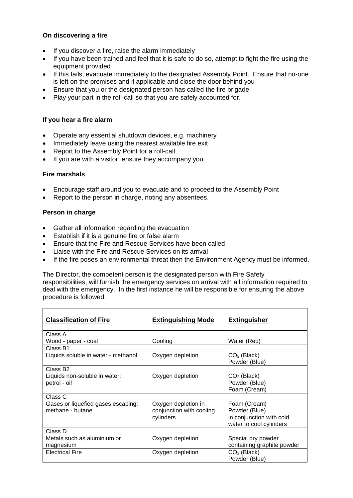## **On discovering a fire**

- If you discover a fire, raise the alarm immediately
- If you have been trained and feel that it is safe to do so, attempt to fight the fire using the equipment provided
- If this fails, evacuate immediately to the designated Assembly Point. Ensure that no-one is left on the premises and if applicable and close the door behind you
- Ensure that you or the designated person has called the fire brigade
- Play your part in the roll-call so that you are safely accounted for.

#### **If you hear a fire alarm**

- Operate any essential shutdown devices, e.g. machinery
- Immediately leave using the nearest available fire exit
- Report to the Assembly Point for a roll-call
- If you are with a visitor, ensure they accompany you.

#### **Fire marshals**

- Encourage staff around you to evacuate and to proceed to the Assembly Point
- Report to the person in charge, noting any absentees.

#### **Person in charge**

- Gather all information regarding the evacuation
- Establish if it is a genuine fire or false alarm
- Ensure that the Fire and Rescue Services have been called
- Liaise with the Fire and Rescue Services on its arrival
- If the fire poses an environmental threat then the Environment Agency must be informed.

The Director, the competent person is the designated person with Fire Safety responsibilities, will furnish the emergency services on arrival with all information required to deal with the emergency. In the first instance he will be responsible for ensuring the above

procedure is followed.

| <b>Classification of Fire</b>                                         | <b>Extinguishing Mode</b>                                    | <b>Extinguisher</b>                                                                  |
|-----------------------------------------------------------------------|--------------------------------------------------------------|--------------------------------------------------------------------------------------|
| Class A<br>Wood - paper - coal                                        | Cooling                                                      | Water (Red)                                                                          |
| Class B1<br>Liquids soluble in water - methanol                       | Oxygen depletion                                             | CO <sub>2</sub> (Black)<br>Powder (Blue)                                             |
| Class B <sub>2</sub><br>Liquids non-soluble in water;<br>petrol - oil | Oxygen depletion                                             | $CO2$ (Black)<br>Powder (Blue)<br>Foam (Cream)                                       |
| Class C<br>Gases or liquefied gases escaping;<br>methane - butane     | Oxygen depletion in<br>conjunction with cooling<br>cylinders | Foam (Cream)<br>Powder (Blue)<br>in conjunction with cold<br>water to cool cylinders |
| Class D<br>Metals such as aluminium or<br>magnesium                   | Oxygen depletion                                             | Special dry powder<br>containing graphite powder                                     |
| <b>Electrical Fire</b>                                                | Oxygen depletion                                             | $CO2$ (Black)<br>Powder (Blue)                                                       |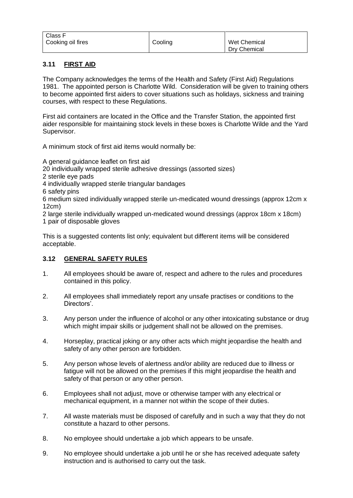| Class F           |         |              |
|-------------------|---------|--------------|
| Cooking oil fires | Cooling | Wet Chemical |
|                   |         | Dry Chemical |

# **3.11 FIRST AID**

The Company acknowledges the terms of the Health and Safety (First Aid) Regulations 1981. The appointed person is Charlotte Wild. Consideration will be given to training others to become appointed first aiders to cover situations such as holidays, sickness and training courses, with respect to these Regulations.

First aid containers are located in the Office and the Transfer Station, the appointed first aider responsible for maintaining stock levels in these boxes is Charlotte Wilde and the Yard Supervisor.

A minimum stock of first aid items would normally be:

A general guidance leaflet on first aid

20 individually wrapped sterile adhesive dressings (assorted sizes)

2 sterile eye pads

4 individually wrapped sterile triangular bandages

6 safety pins

6 medium sized individually wrapped sterile un-medicated wound dressings (approx 12cm x 12cm)

2 large sterile individually wrapped un-medicated wound dressings (approx 18cm x 18cm) 1 pair of disposable gloves

This is a suggested contents list only; equivalent but different items will be considered acceptable.

# **3.12 GENERAL SAFETY RULES**

- 1. All employees should be aware of, respect and adhere to the rules and procedures contained in this policy.
- 2. All employees shall immediately report any unsafe practises or conditions to the Directors'.
- 3. Any person under the influence of alcohol or any other intoxicating substance or drug which might impair skills or judgement shall not be allowed on the premises.
- 4. Horseplay, practical joking or any other acts which might jeopardise the health and safety of any other person are forbidden.
- 5. Any person whose levels of alertness and/or ability are reduced due to illness or fatigue will not be allowed on the premises if this might jeopardise the health and safety of that person or any other person.
- 6. Employees shall not adjust, move or otherwise tamper with any electrical or mechanical equipment, in a manner not within the scope of their duties.
- 7. All waste materials must be disposed of carefully and in such a way that they do not constitute a hazard to other persons.
- 8. No employee should undertake a job which appears to be unsafe.
- 9. No employee should undertake a job until he or she has received adequate safety instruction and is authorised to carry out the task.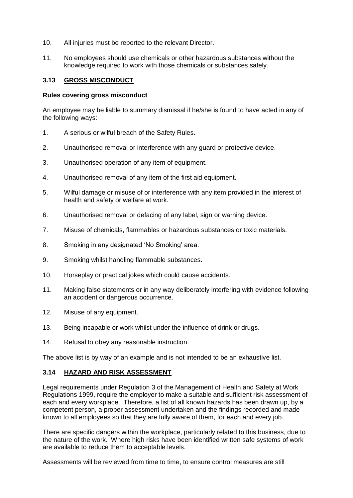- 10. All injuries must be reported to the relevant Director.
- 11. No employees should use chemicals or other hazardous substances without the knowledge required to work with those chemicals or substances safely.

#### **3.13 GROSS MISCONDUCT**

#### **Rules covering gross misconduct**

An employee may be liable to summary dismissal if he/she is found to have acted in any of the following ways:

- 1. A serious or wilful breach of the Safety Rules.
- 2. Unauthorised removal or interference with any guard or protective device.
- 3. Unauthorised operation of any item of equipment.
- 4. Unauthorised removal of any item of the first aid equipment.
- 5. Wilful damage or misuse of or interference with any item provided in the interest of health and safety or welfare at work.
- 6. Unauthorised removal or defacing of any label, sign or warning device.
- 7. Misuse of chemicals, flammables or hazardous substances or toxic materials.
- 8. Smoking in any designated 'No Smoking' area.
- 9. Smoking whilst handling flammable substances.
- 10. Horseplay or practical jokes which could cause accidents.
- 11. Making false statements or in any way deliberately interfering with evidence following an accident or dangerous occurrence.
- 12. Misuse of any equipment.
- 13. Being incapable or work whilst under the influence of drink or drugs.
- 14. Refusal to obey any reasonable instruction.

The above list is by way of an example and is not intended to be an exhaustive list.

#### **3.14 HAZARD AND RISK ASSESSMENT**

Legal requirements under Regulation 3 of the Management of Health and Safety at Work Regulations 1999, require the employer to make a suitable and sufficient risk assessment of each and every workplace. Therefore, a list of all known hazards has been drawn up, by a competent person, a proper assessment undertaken and the findings recorded and made known to all employees so that they are fully aware of them, for each and every job.

There are specific dangers within the workplace, particularly related to this business, due to the nature of the work. Where high risks have been identified written safe systems of work are available to reduce them to acceptable levels.

Assessments will be reviewed from time to time, to ensure control measures are still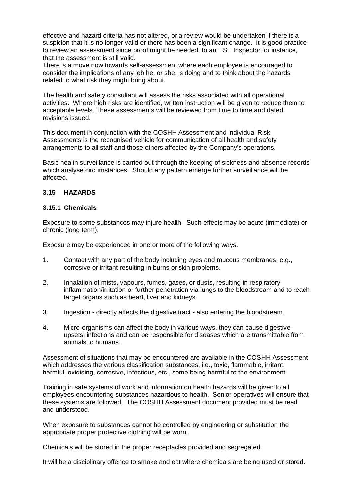effective and hazard criteria has not altered, or a review would be undertaken if there is a suspicion that it is no longer valid or there has been a significant change. It is good practice to review an assessment since proof might be needed, to an HSE Inspector for instance, that the assessment is still valid.

There is a move now towards self-assessment where each employee is encouraged to consider the implications of any job he, or she, is doing and to think about the hazards related to what risk they might bring about.

The health and safety consultant will assess the risks associated with all operational activities. Where high risks are identified, written instruction will be given to reduce them to acceptable levels. These assessments will be reviewed from time to time and dated revisions issued.

This document in conjunction with the COSHH Assessment and individual Risk Assessments is the recognised vehicle for communication of all health and safety arrangements to all staff and those others affected by the Company's operations.

Basic health surveillance is carried out through the keeping of sickness and absence records which analyse circumstances. Should any pattern emerge further surveillance will be affected.

## **3.15 HAZARDS**

#### **3.15.1 Chemicals**

Exposure to some substances may injure health. Such effects may be acute (immediate) or chronic (long term).

Exposure may be experienced in one or more of the following ways.

- 1. Contact with any part of the body including eyes and mucous membranes, e.g., corrosive or irritant resulting in burns or skin problems.
- 2. Inhalation of mists, vapours, fumes, gases, or dusts, resulting in respiratory inflammation/irritation or further penetration via lungs to the bloodstream and to reach target organs such as heart, liver and kidneys.
- 3. Ingestion directly affects the digestive tract also entering the bloodstream.
- 4. Micro-organisms can affect the body in various ways, they can cause digestive upsets, infections and can be responsible for diseases which are transmittable from animals to humans.

Assessment of situations that may be encountered are available in the COSHH Assessment which addresses the various classification substances, i.e., toxic, flammable, irritant, harmful, oxidising, corrosive, infectious, etc., some being harmful to the environment.

Training in safe systems of work and information on health hazards will be given to all employees encountering substances hazardous to health. Senior operatives will ensure that these systems are followed. The COSHH Assessment document provided must be read and understood.

When exposure to substances cannot be controlled by engineering or substitution the appropriate proper protective clothing will be worn.

Chemicals will be stored in the proper receptacles provided and segregated.

It will be a disciplinary offence to smoke and eat where chemicals are being used or stored.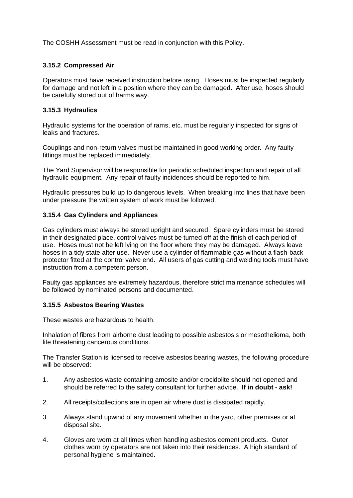The COSHH Assessment must be read in conjunction with this Policy.

## **3.15.2 Compressed Air**

Operators must have received instruction before using. Hoses must be inspected regularly for damage and not left in a position where they can be damaged. After use, hoses should be carefully stored out of harms way.

#### **3.15.3 Hydraulics**

Hydraulic systems for the operation of rams, etc. must be regularly inspected for signs of leaks and fractures.

Couplings and non-return valves must be maintained in good working order. Any faulty fittings must be replaced immediately.

The Yard Supervisor will be responsible for periodic scheduled inspection and repair of all hydraulic equipment. Any repair of faulty incidences should be reported to him.

Hydraulic pressures build up to dangerous levels. When breaking into lines that have been under pressure the written system of work must be followed.

## **3.15.4 Gas Cylinders and Appliances**

Gas cylinders must always be stored upright and secured. Spare cylinders must be stored in their designated place, control valves must be turned off at the finish of each period of use. Hoses must not be left lying on the floor where they may be damaged. Always leave hoses in a tidy state after use. Never use a cylinder of flammable gas without a flash-back protector fitted at the control valve end. All users of gas cutting and welding tools must have instruction from a competent person.

Faulty gas appliances are extremely hazardous, therefore strict maintenance schedules will be followed by nominated persons and documented.

#### **3.15.5 Asbestos Bearing Wastes**

These wastes are hazardous to health.

Inhalation of fibres from airborne dust leading to possible asbestosis or mesothelioma, both life threatening cancerous conditions.

The Transfer Station is licensed to receive asbestos bearing wastes, the following procedure will be observed:

- 1. Any asbestos waste containing amosite and/or crocidolite should not opened and should be referred to the safety consultant for further advice. **If in doubt - ask!**
- 2. All receipts/collections are in open air where dust is dissipated rapidly.
- 3. Always stand upwind of any movement whether in the yard, other premises or at disposal site.
- 4. Gloves are worn at all times when handling asbestos cement products. Outer clothes worn by operators are not taken into their residences. A high standard of personal hygiene is maintained.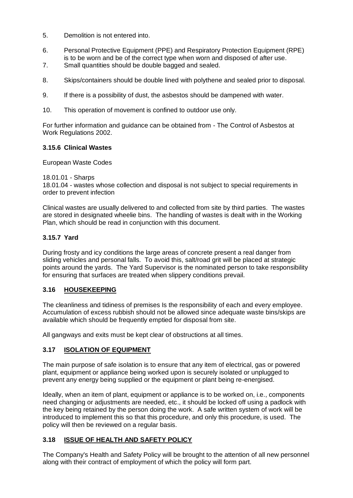- 5. Demolition is not entered into.
- 6. Personal Protective Equipment (PPE) and Respiratory Protection Equipment (RPE) is to be worn and be of the correct type when worn and disposed of after use.
- 7. Small quantities should be double bagged and sealed.
- 8. Skips/containers should be double lined with polythene and sealed prior to disposal.
- 9. If there is a possibility of dust, the asbestos should be dampened with water.
- 10. This operation of movement is confined to outdoor use only.

For further information and guidance can be obtained from - The Control of Asbestos at Work Regulations 2002.

## **3.15.6 Clinical Wastes**

European Waste Codes

18.01.01 - Sharps

18.01.04 - wastes whose collection and disposal is not subject to special requirements in order to prevent infection

Clinical wastes are usually delivered to and collected from site by third parties. The wastes are stored in designated wheelie bins. The handling of wastes is dealt with in the Working Plan, which should be read in conjunction with this document.

## **3.15.7 Yard**

During frosty and icy conditions the large areas of concrete present a real danger from sliding vehicles and personal falls. To avoid this, salt/road grit will be placed at strategic points around the yards. The Yard Supervisor is the nominated person to take responsibility for ensuring that surfaces are treated when slippery conditions prevail.

# **3.16 HOUSEKEEPING**

The cleanliness and tidiness of premises Is the responsibility of each and every employee. Accumulation of excess rubbish should not be allowed since adequate waste bins/skips are available which should be frequently emptied for disposal from site.

All gangways and exits must be kept clear of obstructions at all times.

#### **3.17 ISOLATION OF EQUIPMENT**

The main purpose of safe isolation is to ensure that any item of electrical, gas or powered plant, equipment or appliance being worked upon is securely isolated or unplugged to prevent any energy being supplied or the equipment or plant being re-energised.

Ideally, when an item of plant, equipment or appliance is to be worked on, i.e., components need changing or adjustments are needed, etc., it should be locked off using a padlock with the key being retained by the person doing the work. A safe written system of work will be introduced to implement this so that this procedure, and only this procedure, is used. The policy will then be reviewed on a regular basis.

# **3.18 ISSUE OF HEALTH AND SAFETY POLICY**

The Company's Health and Safety Policy will be brought to the attention of all new personnel along with their contract of employment of which the policy will form part.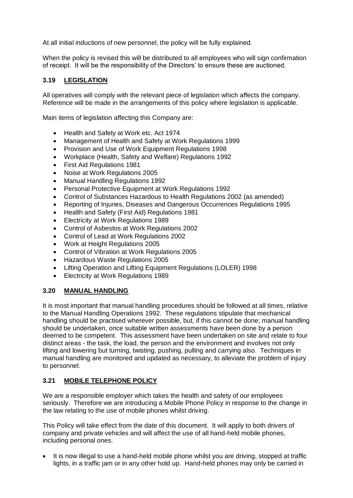At all initial inductions of new personnel, the policy will be fully explained.

When the policy is revised this will be distributed to all employees who will sign confirmation of receipt. It will be the responsibility of the Directors' to ensure these are auctioned.

# **3.19 LEGISLATION**

All operatives will comply with the relevant piece of legislation which affects the company. Reference will be made in the arrangements of this policy where legislation is applicable.

Main items of legislation affecting this Company are:

- Health and Safety at Work etc. Act 1974
- Management of Health and Safety at Work Regulations 1999
- Provision and Use of Work Equipment Regulations 1998
- Workplace (Health, Safety and Welfare) Regulations 1992
- First Aid Regulations 1981
- Noise at Work Regulations 2005
- Manual Handling Regulations 1992
- Personal Protective Equipment at Work Regulations 1992
- Control of Substances Hazardous to Health Regulations 2002 (as amended)
- Reporting of Injuries, Diseases and Dangerous Occurrences Regulations 1995
- Health and Safety (First Aid) Regulations 1981
- Electricity at Work Regulations 1989
- Control of Asbestos at Work Regulations 2002
- Control of Lead at Work Regulations 2002
- Work at Height Regulations 2005
- Control of Vibration at Work Regulations 2005
- Hazardous Waste Regulations 2005
- Lifting Operation and Lifting Equipment Regulations (LOLER) 1998
- Electricity at Work Regulations 1989

#### **3.20 MANUAL HANDLING**

It is most important that manual handling procedures should be followed at all times, relative to the Manual Handling Operations 1992. These regulations stipulate that mechanical handling should be practised wherever possible, but, if this cannot be done; manual handling should be undertaken, once suitable written assessments have been done by a person deemed to be competent. This assessment have been undertaken on site and relate to four distinct areas - the task, the load, the person and the environment and involves not only lifting and lowering but turning, twisting, pushing, pulling and carrying also. Techniques in manual handling are monitored and updated as necessary, to alleviate the problem of injury to personnel.

#### **3.21 MOBILE TELEPHONE POLICY**

We are a responsible employer which takes the health and safety of our employees seriously. Therefore we are introducing a Mobile Phone Policy in response to the change in the law relating to the use of mobile phones whilst driving.

This Policy will take effect from the date of this document. It will apply to both drivers of company and private vehicles and will affect the use of all hand-held mobile phones, including personal ones.

• It is now illegal to use a hand-held mobile phone whilst you are driving, stopped at traffic lights, in a traffic jam or in any other hold up. Hand-held phones may only be carried in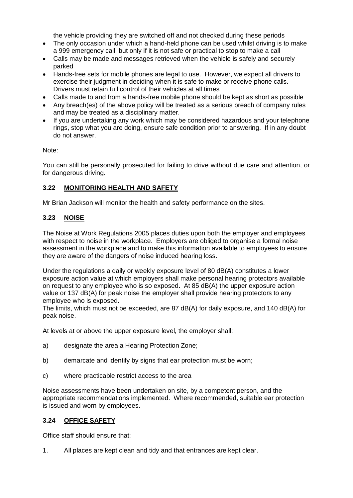the vehicle providing they are switched off and not checked during these periods

- The only occasion under which a hand-held phone can be used whilst driving is to make a 999 emergency call, but only if it is not safe or practical to stop to make a call
- Calls may be made and messages retrieved when the vehicle is safely and securely parked
- Hands-free sets for mobile phones are legal to use. However, we expect all drivers to exercise their judgment in deciding when it is safe to make or receive phone calls. Drivers must retain full control of their vehicles at all times
- Calls made to and from a hands-free mobile phone should be kept as short as possible
- Any breach(es) of the above policy will be treated as a serious breach of company rules and may be treated as a disciplinary matter.
- If you are undertaking any work which may be considered hazardous and your telephone rings, stop what you are doing, ensure safe condition prior to answering. If in any doubt do not answer.

#### Note:

You can still be personally prosecuted for failing to drive without due care and attention, or for dangerous driving.

#### **3.22 MONITORING HEALTH AND SAFETY**

Mr Brian Jackson will monitor the health and safety performance on the sites.

#### **3.23 NOISE**

The Noise at Work Regulations 2005 places duties upon both the employer and employees with respect to noise in the workplace. Employers are obliged to organise a formal noise assessment in the workplace and to make this information available to employees to ensure they are aware of the dangers of noise induced hearing loss.

Under the regulations a daily or weekly exposure level of 80 dB(A) constitutes a lower exposure action value at which employers shall make personal hearing protectors available on request to any employee who is so exposed. At 85 dB(A) the upper exposure action value or 137 dB(A) for peak noise the employer shall provide hearing protectors to any employee who is exposed.

The limits, which must not be exceeded, are 87 dB(A) for daily exposure, and 140 dB(A) for peak noise.

At levels at or above the upper exposure level, the employer shall:

- a) designate the area a Hearing Protection Zone;
- b) demarcate and identify by signs that ear protection must be worn;
- c) where practicable restrict access to the area

Noise assessments have been undertaken on site, by a competent person, and the appropriate recommendations implemented. Where recommended, suitable ear protection is issued and worn by employees.

#### **3.24 OFFICE SAFETY**

Office staff should ensure that:

1. All places are kept clean and tidy and that entrances are kept clear.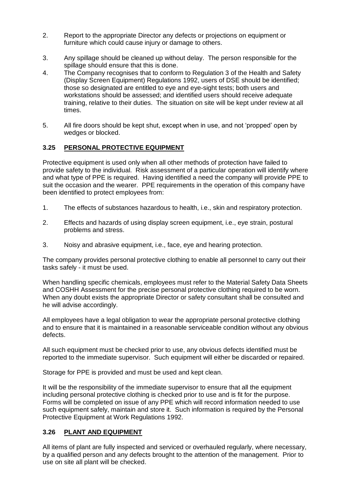- 2. Report to the appropriate Director any defects or projections on equipment or furniture which could cause injury or damage to others.
- 3. Any spillage should be cleaned up without delay. The person responsible for the spillage should ensure that this is done.
- 4. The Company recognises that to conform to Regulation 3 of the Health and Safety (Display Screen Equipment) Regulations 1992, users of DSE should be identified; those so designated are entitled to eye and eye-sight tests; both users and workstations should be assessed; and identified users should receive adequate training, relative to their duties. The situation on site will be kept under review at all times.
- 5. All fire doors should be kept shut, except when in use, and not 'propped' open by wedges or blocked.

# **3.25 PERSONAL PROTECTIVE EQUIPMENT**

Protective equipment is used only when all other methods of protection have failed to provide safety to the individual. Risk assessment of a particular operation will identify where and what type of PPE is required. Having identified a need the company will provide PPE to suit the occasion and the wearer. PPE requirements in the operation of this company have been identified to protect employees from:

- 1. The effects of substances hazardous to health, i.e., skin and respiratory protection.
- 2. Effects and hazards of using display screen equipment, i.e., eye strain, postural problems and stress.
- 3. Noisy and abrasive equipment, i.e., face, eye and hearing protection.

The company provides personal protective clothing to enable all personnel to carry out their tasks safely - it must be used.

When handling specific chemicals, employees must refer to the Material Safety Data Sheets and COSHH Assessment for the precise personal protective clothing required to be worn. When any doubt exists the appropriate Director or safety consultant shall be consulted and he will advise accordingly.

All employees have a legal obligation to wear the appropriate personal protective clothing and to ensure that it is maintained in a reasonable serviceable condition without any obvious defects.

All such equipment must be checked prior to use, any obvious defects identified must be reported to the immediate supervisor. Such equipment will either be discarded or repaired.

Storage for PPE is provided and must be used and kept clean.

It will be the responsibility of the immediate supervisor to ensure that all the equipment including personal protective clothing is checked prior to use and is fit for the purpose. Forms will be completed on issue of any PPE which will record information needed to use such equipment safely, maintain and store it. Such information is required by the Personal Protective Equipment at Work Regulations 1992.

#### **3.26 PLANT AND EQUIPMENT**

All items of plant are fully inspected and serviced or overhauled regularly, where necessary, by a qualified person and any defects brought to the attention of the management. Prior to use on site all plant will be checked.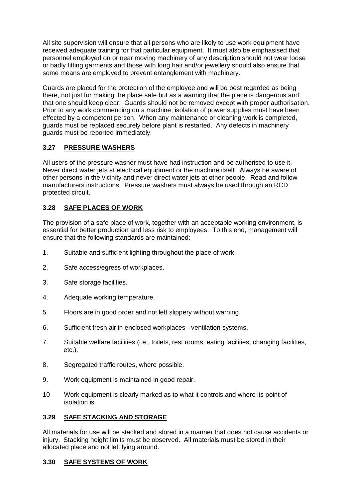All site supervision will ensure that all persons who are likely to use work equipment have received adequate training for that particular equipment. It must also be emphasised that personnel employed on or near moving machinery of any description should not wear loose or badly fitting garments and those with long hair and/or jewellery should also ensure that some means are employed to prevent entanglement with machinery.

Guards are placed for the protection of the employee and will be best regarded as being there, not just for making the place safe but as a warning that the place is dangerous and that one should keep clear. Guards should not be removed except with proper authorisation. Prior to any work commencing on a machine, isolation of power supplies must have been effected by a competent person. When any maintenance or cleaning work is completed, guards must be replaced securely before plant is restarted. Any defects in machinery guards must be reported immediately.

# **3.27 PRESSURE WASHERS**

All users of the pressure washer must have had instruction and be authorised to use it. Never direct water jets at electrical equipment or the machine itself. Always be aware of other persons in the vicinity and never direct water jets at other people. Read and follow manufacturers instructions. Pressure washers must always be used through an RCD protected circuit.

# **3.28 SAFE PLACES OF WORK**

The provision of a safe place of work, together with an acceptable working environment, is essential for better production and less risk to employees. To this end, management will ensure that the following standards are maintained:

- 1. Suitable and sufficient lighting throughout the place of work.
- 2. Safe access/egress of workplaces.
- 3. Safe storage facilities.
- 4. Adequate working temperature.
- 5. Floors are in good order and not left slippery without warning.
- 6. Sufficient fresh air in enclosed workplaces ventilation systems.
- 7. Suitable welfare facilities (i.e., toilets, rest rooms, eating facilities, changing facilities, etc.).
- 8. Segregated traffic routes, where possible.
- 9. Work equipment is maintained in good repair.
- 10 Work equipment is clearly marked as to what it controls and where its point of isolation is.

# **3.29 SAFE STACKING AND STORAGE**

All materials for use will be stacked and stored in a manner that does not cause accidents or injury. Stacking height limits must be observed. All materials must be stored in their allocated place and not left lying around.

# **3.30 SAFE SYSTEMS OF WORK**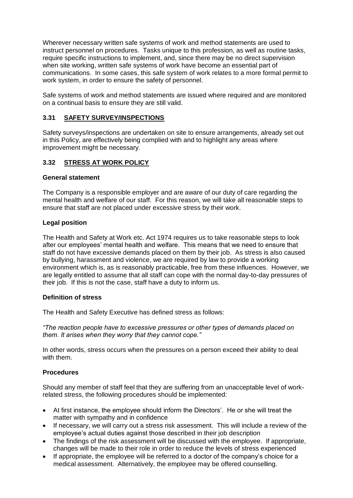Wherever necessary written safe systems of work and method statements are used to instruct personnel on procedures. Tasks unique to this profession, as well as routine tasks, require specific instructions to implement, and, since there may be no direct supervision when site working, written safe systems of work have become an essential part of communications. In some cases, this safe system of work relates to a more formal permit to work system, in order to ensure the safety of personnel.

Safe systems of work and method statements are issued where required and are monitored on a continual basis to ensure they are still valid.

## **3.31 SAFETY SURVEY/INSPECTIONS**

Safety surveys/inspections are undertaken on site to ensure arrangements, already set out in this Policy, are effectively being complied with and to highlight any areas where improvement might be necessary.

## **3.32 STRESS AT WORK POLICY**

#### **General statement**

The Company is a responsible employer and are aware of our duty of care regarding the mental health and welfare of our staff. For this reason, we will take all reasonable steps to ensure that staff are not placed under excessive stress by their work.

#### **Legal position**

The Health and Safety at Work etc. Act 1974 requires us to take reasonable steps to look after our employees' mental health and welfare. This means that we need to ensure that staff do not have excessive demands placed on them by their job. As stress is also caused by bullying, harassment and violence, we are required by law to provide a working environment which is, as is reasonably practicable, free from these influences. However, we are legally entitled to assume that all staff can cope with the normal day-to-day pressures of their job. If this is not the case, staff have a duty to inform us.

#### **Definition of stress**

The Health and Safety Executive has defined stress as follows:

*"The reaction people have to excessive pressures or other types of demands placed on them. It arises when they worry that they cannot cope."* 

In other words, stress occurs when the pressures on a person exceed their ability to deal with them.

#### **Procedures**

Should any member of staff feel that they are suffering from an unacceptable level of workrelated stress, the following procedures should be implemented:

- At first instance, the employee should inform the Directors'. He or she will treat the matter with sympathy and in confidence
- If necessary, we will carry out a stress risk assessment. This will include a review of the employee's actual duties against those described in their job description
- The findings of the risk assessment will be discussed with the employee. If appropriate, changes will be made to their role in order to reduce the levels of stress experienced
- If appropriate, the employee will be referred to a doctor of the company's choice for a medical assessment. Alternatively, the employee may be offered counselling.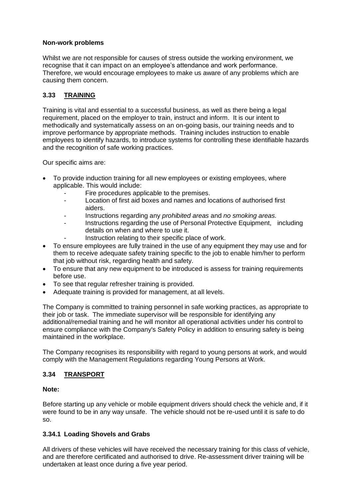# **Non-work problems**

Whilst we are not responsible for causes of stress outside the working environment, we recognise that it can impact on an employee's attendance and work performance. Therefore, we would encourage employees to make us aware of any problems which are causing them concern.

# **3.33 TRAINING**

Training is vital and essential to a successful business, as well as there being a legal requirement, placed on the employer to train, instruct and inform. It is our intent to methodically and systematically assess on an on-going basis, our training needs and to improve performance by appropriate methods. Training includes instruction to enable employees to identify hazards, to introduce systems for controlling these identifiable hazards and the recognition of safe working practices.

Our specific aims are:

- To provide induction training for all new employees or existing employees, where applicable. This would include:
	- Fire procedures applicable to the premises.
	- Location of first aid boxes and names and locations of authorised first aiders.
	- Instructions regarding any *prohibited areas* and *no smoking areas.*
	- Instructions regarding the use of Personal Protective Equipment, including details on when and where to use it.
	- Instruction relating to their specific place of work.
- To ensure employees are fully trained in the use of any equipment they may use and for them to receive adequate safety training specific to the job to enable him/her to perform that job without risk, regarding health and safety.
- To ensure that any new equipment to be introduced is assess for training requirements before use.
- To see that regular refresher training is provided.
- Adequate training is provided for management, at all levels.

The Company is committed to training personnel in safe working practices, as appropriate to their job or task. The immediate supervisor will be responsible for identifying any additional/remedial training and he will monitor all operational activities under his control to ensure compliance with the Company's Safety Policy in addition to ensuring safety is being maintained in the workplace.

The Company recognises its responsibility with regard to young persons at work, and would comply with the Management Regulations regarding Young Persons at Work.

#### **3.34 TRANSPORT**

#### **Note:**

Before starting up any vehicle or mobile equipment drivers should check the vehicle and, if it were found to be in any way unsafe. The vehicle should not be re-used until it is safe to do so.

#### **3.34.1 Loading Shovels and Grabs**

All drivers of these vehicles will have received the necessary training for this class of vehicle, and are therefore certificated and authorised to drive. Re-assessment driver training will be undertaken at least once during a five year period.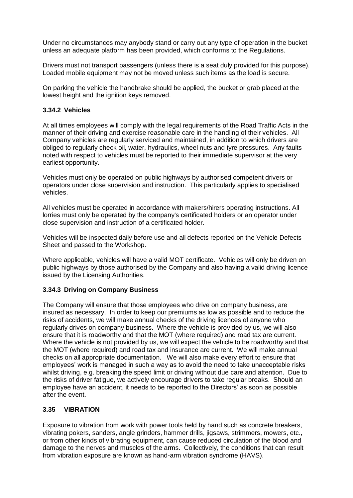Under no circumstances may anybody stand or carry out any type of operation in the bucket unless an adequate platform has been provided, which conforms to the Regulations.

Drivers must not transport passengers (unless there is a seat duly provided for this purpose). Loaded mobile equipment may not be moved unless such items as the load is secure.

On parking the vehicle the handbrake should be applied, the bucket or grab placed at the lowest height and the ignition keys removed.

#### **3.34.2 Vehicles**

At all times employees will comply with the legal requirements of the Road Traffic Acts in the manner of their driving and exercise reasonable care in the handling of their vehicles. All Company vehicles are regularly serviced and maintained, in addition to which drivers are obliged to regularly check oil, water, hydraulics, wheel nuts and tyre pressures. Any faults noted with respect to vehicles must be reported to their immediate supervisor at the very earliest opportunity.

Vehicles must only be operated on public highways by authorised competent drivers or operators under close supervision and instruction. This particularly applies to specialised vehicles.

All vehicles must be operated in accordance with makers/hirers operating instructions. All lorries must only be operated by the company's certificated holders or an operator under close supervision and instruction of a certificated holder.

Vehicles will be inspected daily before use and all defects reported on the Vehicle Defects Sheet and passed to the Workshop.

Where applicable, vehicles will have a valid MOT certificate. Vehicles will only be driven on public highways by those authorised by the Company and also having a valid driving licence issued by the Licensing Authorities.

#### **3.34.3 Driving on Company Business**

The Company will ensure that those employees who drive on company business, are insured as necessary. In order to keep our premiums as low as possible and to reduce the risks of accidents, we will make annual checks of the driving licences of anyone who regularly drives on company business. Where the vehicle is provided by us, we will also ensure that it is roadworthy and that the MOT (where required) and road tax are current. Where the vehicle is not provided by us, we will expect the vehicle to be roadworthy and that the MOT (where required) and road tax and insurance are current. We will make annual checks on all appropriate documentation. We will also make every effort to ensure that employees' work is managed in such a way as to avoid the need to take unacceptable risks whilst driving, e.g. breaking the speed limit or driving without due care and attention. Due to the risks of driver fatigue, we actively encourage drivers to take regular breaks. Should an employee have an accident, it needs to be reported to the Directors' as soon as possible after the event.

#### **3.35 VIBRATION**

Exposure to vibration from work with power tools held by hand such as concrete breakers, vibrating pokers, sanders, angle grinders, hammer drills, jigsaws, strimmers, mowers, etc., or from other kinds of vibrating equipment, can cause reduced circulation of the blood and damage to the nerves and muscles of the arms. Collectively, the conditions that can result from vibration exposure are known as hand-arm vibration syndrome (HAVS).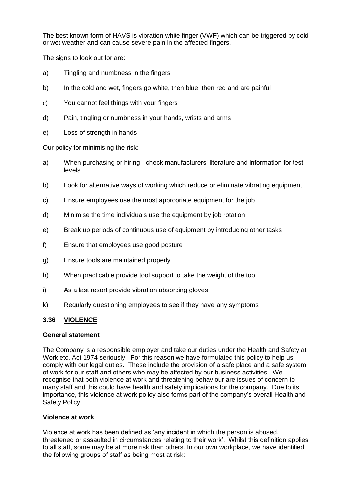The best known form of HAVS is vibration white finger (VWF) which can be triggered by cold or wet weather and can cause severe pain in the affected fingers.

The signs to look out for are:

- a) Tingling and numbness in the fingers
- b) In the cold and wet, fingers go white, then blue, then red and are painful
- c) You cannot feel things with your fingers
- d) Pain, tingling or numbness in your hands, wrists and arms
- e) Loss of strength in hands

Our policy for minimising the risk:

- a) When purchasing or hiring check manufacturers' literature and information for test levels
- b) Look for alternative ways of working which reduce or eliminate vibrating equipment
- c) Ensure employees use the most appropriate equipment for the job
- d) Minimise the time individuals use the equipment by job rotation
- e) Break up periods of continuous use of equipment by introducing other tasks
- f) Ensure that employees use good posture
- g) Ensure tools are maintained properly
- h) When practicable provide tool support to take the weight of the tool
- i) As a last resort provide vibration absorbing gloves
- k) Regularly questioning employees to see if they have any symptoms

#### **3.36 VIOLENCE**

#### **General statement**

The Company is a responsible employer and take our duties under the Health and Safety at Work etc. Act 1974 seriously. For this reason we have formulated this policy to help us comply with our legal duties. These include the provision of a safe place and a safe system of work for our staff and others who may be affected by our business activities. We recognise that both violence at work and threatening behaviour are issues of concern to many staff and this could have health and safety implications for the company. Due to its importance, this violence at work policy also forms part of the company's overall Health and Safety Policy.

#### **Violence at work**

Violence at work has been defined as 'any incident in which the person is abused, threatened or assaulted in circumstances relating to their work'. Whilst this definition applies to all staff, some may be at more risk than others. In our own workplace, we have identified the following groups of staff as being most at risk: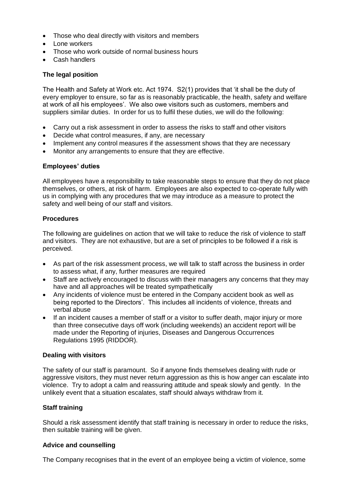- Those who deal directly with visitors and members
- Lone workers
- Those who work outside of normal business hours
- Cash handlers

#### **The legal position**

The Health and Safety at Work etc. Act 1974. S2(1) provides that 'it shall be the duty of every employer to ensure, so far as is reasonably practicable, the health, safety and welfare at work of all his employees'. We also owe visitors such as customers, members and suppliers similar duties. In order for us to fulfil these duties, we will do the following:

- Carry out a risk assessment in order to assess the risks to staff and other visitors
- Decide what control measures, if any, are necessary
- Implement any control measures if the assessment shows that they are necessary
- Monitor any arrangements to ensure that they are effective.

#### **Employees' duties**

All employees have a responsibility to take reasonable steps to ensure that they do not place themselves, or others, at risk of harm. Employees are also expected to co-operate fully with us in complying with any procedures that we may introduce as a measure to protect the safety and well being of our staff and visitors.

#### **Procedures**

The following are guidelines on action that we will take to reduce the risk of violence to staff and visitors. They are not exhaustive, but are a set of principles to be followed if a risk is perceived.

- As part of the risk assessment process, we will talk to staff across the business in order to assess what, if any, further measures are required
- Staff are actively encouraged to discuss with their managers any concerns that they may have and all approaches will be treated sympathetically
- Any incidents of violence must be entered in the Company accident book as well as being reported to the Directors'. This includes all incidents of violence, threats and verbal abuse
- If an incident causes a member of staff or a visitor to suffer death, major injury or more than three consecutive days off work (including weekends) an accident report will be made under the Reporting of injuries, Diseases and Dangerous Occurrences Regulations 1995 (RIDDOR).

#### **Dealing with visitors**

The safety of our staff is paramount. So if anyone finds themselves dealing with rude or aggressive visitors, they must never return aggression as this is how anger can escalate into violence. Try to adopt a calm and reassuring attitude and speak slowly and gently. In the unlikely event that a situation escalates, staff should always withdraw from it.

#### **Staff training**

Should a risk assessment identify that staff training is necessary in order to reduce the risks, then suitable training will be given.

#### **Advice and counselling**

The Company recognises that in the event of an employee being a victim of violence, some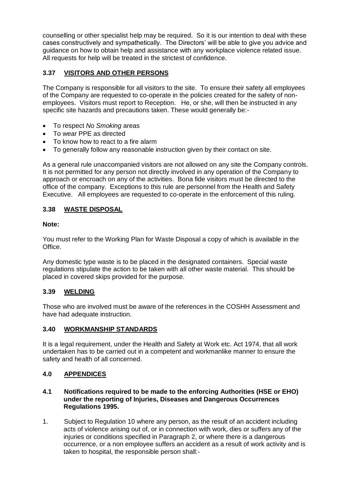counselling or other specialist help may be required. So it is our intention to deal with these cases constructively and sympathetically. The Directors' will be able to give you advice and guidance on how to obtain help and assistance with any workplace violence related issue. All requests for help will be treated in the strictest of confidence.

# **3.37 VISITORS AND OTHER PERSONS**

The Company is responsible for all visitors to the site. To ensure their safety all employees of the Company are requested to co-operate in the policies created for the safety of nonemployees. Visitors must report to Reception. He, or she, will then be instructed in any specific site hazards and precautions taken. These would generally be:-

- To respect *No Smoking* areas
- To wear PPE as directed
- To know how to react to a fire alarm
- To generally follow any reasonable instruction given by their contact on site.

As a general rule unaccompanied visitors are not allowed on any site the Company controls. It is not permitted for any person not directly involved in any operation of the Company to approach or encroach on any of the activities. Bona fide visitors must be directed to the office of the company. Exceptions to this rule are personnel from the Health and Safety Executive. All employees are requested to co-operate in the enforcement of this ruling.

# **3.38 WASTE DISPOSAL**

## **Note:**

You must refer to the Working Plan for Waste Disposal a copy of which is available in the Office.

Any domestic type waste is to be placed in the designated containers. Special waste regulations stipulate the action to be taken with all other waste material. This should be placed in covered skips provided for the purpose.

# **3.39 WELDING**

Those who are involved must be aware of the references in the COSHH Assessment and have had adequate instruction.

#### **3.40 WORKMANSHIP STANDARDS**

It is a legal requirement, under the Health and Safety at Work etc. Act 1974, that all work undertaken has to be carried out in a competent and workmanlike manner to ensure the safety and health of all concerned.

#### **4.0 APPENDICES**

- **4.1 Notifications required to be made to the enforcing Authorities (HSE or EHO) under the reporting of Injuries, Diseases and Dangerous Occurrences Regulations 1995.**
- 1. Subject to Regulation 10 where any person, as the result of an accident including acts of violence arising out of, or in connection with work, dies or suffers any of the injuries or conditions specified in Paragraph 2, or where there is a dangerous occurrence, or a non employee suffers an accident as a result of work activity and is taken to hospital, the responsible person shall:-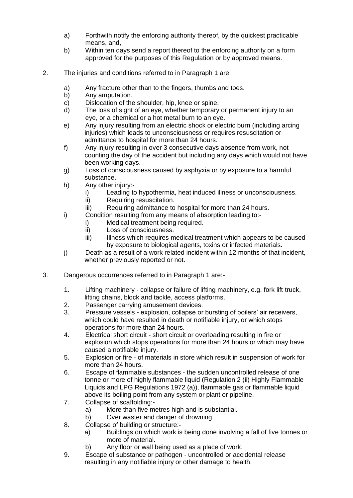- a) Forthwith notify the enforcing authority thereof, by the quickest practicable means, and,
- b) Within ten days send a report thereof to the enforcing authority on a form approved for the purposes of this Regulation or by approved means.
- 2. The injuries and conditions referred to in Paragraph 1 are:
	- a) Any fracture other than to the fingers, thumbs and toes.<br>b) Any amputation.
	- Any amputation.
	- c) Dislocation of the shoulder, hip, knee or spine.
	- d) The loss of sight of an eye, whether temporary or permanent injury to an eye, or a chemical or a hot metal burn to an eye.
	- e) Any injury resulting from an electric shock or electric burn (including arcing injuries) which leads to unconsciousness or requires resuscitation or admittance to hospital for more than 24 hours.
	- f) Any injury resulting in over 3 consecutive days absence from work, not counting the day of the accident but including any days which would not have been working days.
	- g) Loss of consciousness caused by asphyxia or by exposure to a harmful substance.
	- h) Any other injury:
		- i) Leading to hypothermia, heat induced illness or unconsciousness.
		- ii) Requiring resuscitation.
		- iii) Requiring admittance to hospital for more than 24 hours.
	- i) Condition resulting from any means of absorption leading to:
		- i) Medical treatment being required.
		- ii) Loss of consciousness.
		- iii) Illness which requires medical treatment which appears to be caused by exposure to biological agents, toxins or infected materials.
	- j) Death as a result of a work related incident within 12 months of that incident, whether previously reported or not.
- 3. Dangerous occurrences referred to in Paragraph 1 are:-
	- 1. Lifting machinery collapse or failure of lifting machinery, e.g. fork lift truck, lifting chains, block and tackle, access platforms.
	- 2. Passenger carrying amusement devices.
	- 3. Pressure vessels explosion, collapse or bursting of boilers' air receivers, which could have resulted in death or notifiable injury, or which stops operations for more than 24 hours.
	- 4. Electrical short circuit short circuit or overloading resulting in fire or explosion which stops operations for more than 24 hours or which may have caused a notifiable injury.
	- 5. Explosion or fire of materials in store which result in suspension of work for more than 24 hours.
	- 6. Escape of flammable substances the sudden uncontrolled release of one tonne or more of highly flammable liquid (Regulation 2 (ii) Highly Flammable Liquids and LPG Regulations 1972 (a)), flammable gas or flammable liquid above its boiling point from any system or plant or pipeline.
	- 7. Collapse of scaffolding:
		- a) More than five metres high and is substantial.
		- b) Over waster and danger of drowning.
	- 8. Collapse of building or structure:
		- a) Buildings on which work is being done involving a fall of five tonnes or more of material.
		- b) Any floor or wall being used as a place of work.
	- 9. Escape of substance or pathogen uncontrolled or accidental release resulting in any notifiable injury or other damage to health.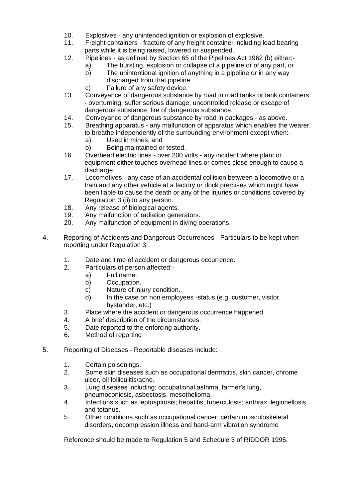- 10. Explosives any unintended ignition or explosion of explosive.
- 11. Freight containers fracture of any freight container including load bearing parts while it is being raised, lowered or suspended.
- 12. Pipelines as defined by Section 65 of the Pipelines Act 1962 (b) either:
	- a) The bursting, explosion or collapse of a pipeline or of any part, or b) The unintentional ignition of anything in a pipeline or in any way
		- discharged from that pipeline.
	- c) Failure of any safety device.
- 13. Conveyance of dangerous substance by road in road tanks or tank containers - overturning, suffer serious damage, uncontrolled release or escape of dangerous substance, fire of dangerous substance.
- 14. Conveyance of dangerous substance by road in packages as above.
- 15. Breathing apparatus any malfunction of apparatus which enables the wearer to breathe independently of the surrounding environment except when:
	- a) Used in mines, and
	- b) Being maintained or tested.
- 16. Overhead electric lines over 200 volts any incident where plant or equipment either touches overhead lines or comes close enough to cause a discharge.
- 17. Locomotives any case of an accidental collision between a locomotive or a train and any other vehicle at a factory or dock premises which might have been liable to cause the death or any of the injuries or conditions covered by Regulation 3 (ii) to any person.
- 18. Any release of biological agents.
- 19. Any malfunction of radiation generators.
- 20. Any malfunction of equipment in diving operations.
- 4. Reporting of Accidents and Dangerous Occurrences Particulars to be kept when reporting under Regulation 3.
	- 1. Date and time of accident or dangerous occurrence.
	- 2. Particulars of person affected:
		- a) Full name.
		- b) Occupation.
		- c) Nature of injury condition.
		- d) In the case on non employees -status (e.g. customer, visitor, bystander, etc.)
	- 3. Place where the accident or dangerous occurrence happened.
	- 4. A brief description of the circumstances.
	- 5. Date reported to the enforcing authority.
	- 6. Method of reporting
- 5. Reporting of Diseases Reportable diseases include:
	- 1. Certain poisonings.
	- 2. Some skin diseases such as occupational dermatitis, skin cancer, chrome ulcer, oil folliculitis/acne.
	- 3. Lung diseases including: occupational asthma, farmer's lung, pneumoconiosis, asbestosis, mesothelioma.
	- 4. Infections such as leptospirosis; hepatitis; tuberculosis; anthrax; legionellosis and tetanus.
	- 5. Other conditions such as occupational cancer; certain musculoskeletal disorders, decompression illness and hand-arm vibration syndrome

Reference should be made to Regulation 5 and Schedule 3 of RIDDOR 1995.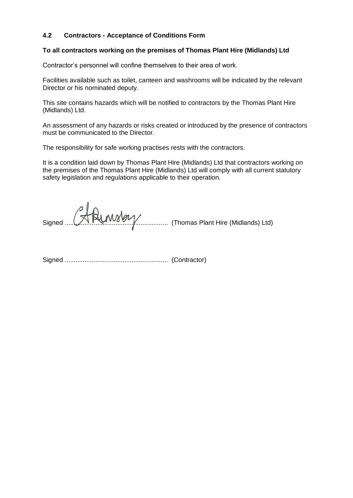### **4.2 Contractors - Acceptance of Conditions Form**

#### **To all contractors working on the premises of Thomas Plant Hire (Midlands) Ltd**

Contractor's personnel will confine themselves to their area of work.

Facilities available such as toilet, canteen and washrooms will be indicated by the relevant Director or his nominated deputy.

This site contains hazards which will be notified to contractors by the Thomas Plant Hire (Midlands) Ltd.

An assessment of any hazards or risks created or introduced by the presence of contractors must be communicated to the Director.

The responsibility for safe working practises rests with the contractors.

It is a condition laid down by Thomas Plant Hire (Midlands) Ltd that contractors working on the premises of the Thomas Plant Hire (Midlands) Ltd will comply with all current statutory safety legislation and regulations applicable to their operation.

Signed ......................................................... (Thomas Plant Hire (Midlands) Ltd)

Signed ......................................................... (Contractor)